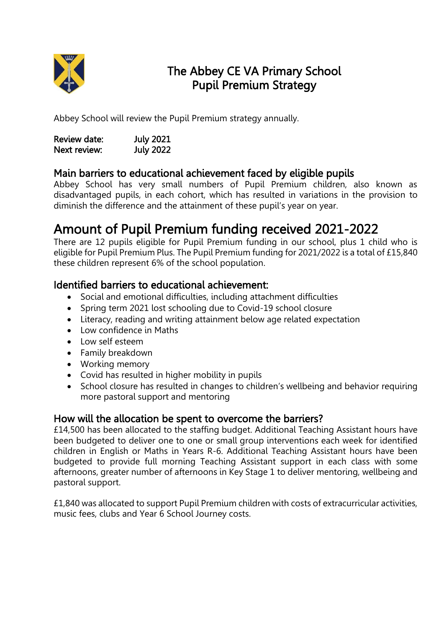

## The Abbey CE VA Primary School Pupil Premium Strategy

Abbey School will review the Pupil Premium strategy annually.

| Review date: | <b>July 2021</b> |
|--------------|------------------|
| Next review: | <b>July 2022</b> |

## Main barriers to educational achievement faced by eligible pupils

Abbey School has very small numbers of Pupil Premium children, also known as disadvantaged pupils, in each cohort, which has resulted in variations in the provision to diminish the difference and the attainment of these pupil's year on year.

# Amount of Pupil Premium funding received 2021-2022

There are 12 pupils eligible for Pupil Premium funding in our school, plus 1 child who is eligible for Pupil Premium Plus. The Pupil Premium funding for 2021/2022 is a total of £15,840 these children represent 6% of the school population.

### Identified barriers to educational achievement:

- Social and emotional difficulties, including attachment difficulties
- Spring term 2021 lost schooling due to Covid-19 school closure
- Literacy, reading and writing attainment below age related expectation
- Low confidence in Maths
- Low self esteem
- Family breakdown
- Working memory
- Covid has resulted in higher mobility in pupils
- School closure has resulted in changes to children's wellbeing and behavior requiring more pastoral support and mentoring

#### How will the allocation be spent to overcome the barriers?

£14,500 has been allocated to the staffing budget. Additional Teaching Assistant hours have been budgeted to deliver one to one or small group interventions each week for identified children in English or Maths in Years R-6. Additional Teaching Assistant hours have been budgeted to provide full morning Teaching Assistant support in each class with some afternoons, greater number of afternoons in Key Stage 1 to deliver mentoring, wellbeing and pastoral support.

£1,840 was allocated to support Pupil Premium children with costs of extracurricular activities, music fees, clubs and Year 6 School Journey costs.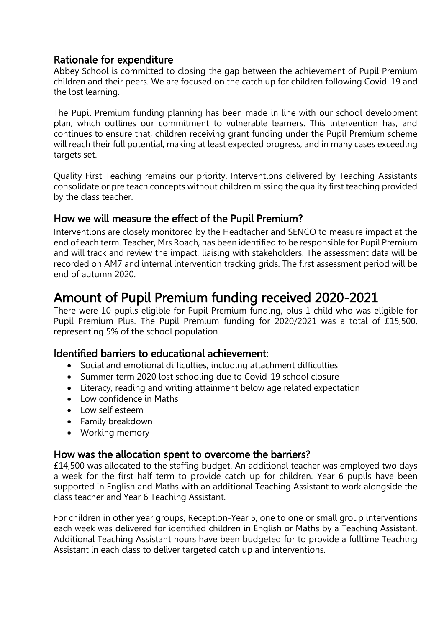### Rationale for expenditure

Abbey School is committed to closing the gap between the achievement of Pupil Premium children and their peers. We are focused on the catch up for children following Covid-19 and the lost learning.

The Pupil Premium funding planning has been made in line with our school development plan, which outlines our commitment to vulnerable learners. This intervention has, and continues to ensure that, children receiving grant funding under the Pupil Premium scheme will reach their full potential, making at least expected progress, and in many cases exceeding targets set.

Quality First Teaching remains our priority. Interventions delivered by Teaching Assistants consolidate or pre teach concepts without children missing the quality first teaching provided by the class teacher.

### How we will measure the effect of the Pupil Premium?

Interventions are closely monitored by the Headtacher and SENCO to measure impact at the end of each term. Teacher, Mrs Roach, has been identified to be responsible for Pupil Premium and will track and review the impact, liaising with stakeholders. The assessment data will be recorded on AM7 and internal intervention tracking grids. The first assessment period will be end of autumn 2020.

## Amount of Pupil Premium funding received 2020-2021

There were 10 pupils eligible for Pupil Premium funding, plus 1 child who was eligible for Pupil Premium Plus. The Pupil Premium funding for 2020/2021 was a total of £15,500, representing 5% of the school population.

### Identified barriers to educational achievement:

- Social and emotional difficulties, including attachment difficulties
- Summer term 2020 lost schooling due to Covid-19 school closure
- Literacy, reading and writing attainment below age related expectation
- $\bullet$  Low confidence in Maths
- Low self esteem
- Family breakdown
- Working memory

#### How was the allocation spent to overcome the barriers?

£14,500 was allocated to the staffing budget. An additional teacher was employed two days a week for the first half term to provide catch up for children. Year 6 pupils have been supported in English and Maths with an additional Teaching Assistant to work alongside the class teacher and Year 6 Teaching Assistant.

For children in other year groups, Reception-Year 5, one to one or small group interventions each week was delivered for identified children in English or Maths by a Teaching Assistant. Additional Teaching Assistant hours have been budgeted for to provide a fulltime Teaching Assistant in each class to deliver targeted catch up and interventions.